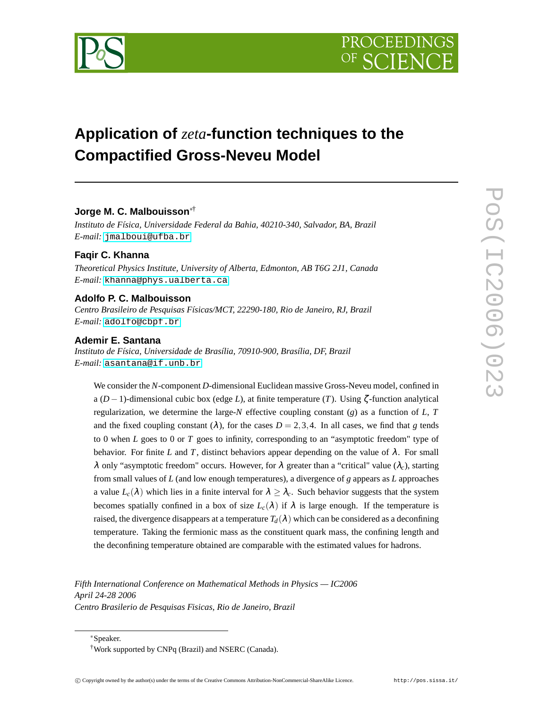

# **Application of** *zeta***-function techniques to the Compactified Gross-Neveu Model**

# **Jorge M. C. Malbouisson**∗†

*Instituto de Física, Universidade Federal da Bahia, 40210-340, Salvador, BA, Brazil E-mail:* [jmalboui@ufba.br](mailto:jmalboui@ufba.br)

# **Faqir C. Khanna**

*Theoretical Physics Institute, University of Alberta, Edmonton, AB T6G 2J1, Canada E-mail:* [khanna@phys.ualberta.ca](mailto:khanna@phys.ualberta.ca)

# **Adolfo P. C. Malbouisson**

*Centro Brasileiro de Pesquisas Físicas/MCT, 22290-180, Rio de Janeiro, RJ, Brazil E-mail:* [adolfo@cbpf.br](mailto:adolfo@cbpf.br)

## **Ademir E. Santana**

*Instituto de Física, Universidade de Brasília, 70910-900, Brasília, DF, Brazil E-mail:* [asantana@if.unb.br](mailto:asantana@if.unb.br)

We consider the *N*-component *D*-dimensional Euclidean massive Gross-Neveu model, confined in a (*D*−1)-dimensional cubic box (edge *L*), at finite temperature (*T*). Using ζ -function analytical regularization, we determine the large-*N* effective coupling constant  $(g)$  as a function of *L*, *T* and the fixed coupling constant ( $\lambda$ ), for the cases  $D = 2,3,4$ . In all cases, we find that *g* tends to 0 when *L* goes to 0 or *T* goes to infinity, corresponding to an "asymptotic freedom" type of behavior. For finite *L* and *T*, distinct behaviors appear depending on the value of  $\lambda$ . For small <sup>λ</sup> only "asymptotic freedom" occurs. However, for <sup>λ</sup> greater than a "critical" value (λ*c*), starting from small values of *L* (and low enough temperatures), a divergence of *g* appears as *L* approaches a value  $L_c(\lambda)$  which lies in a finite interval for  $\lambda \geq \lambda_c$ . Such behavior suggests that the system becomes spatially confined in a box of size  $L_c(\lambda)$  if  $\lambda$  is large enough. If the temperature is raised, the divergence disappears at a temperature  $T_d(\lambda)$  which can be considered as a deconfining temperature. Taking the fermionic mass as the constituent quark mass, the confining length and the deconfining temperature obtained are comparable with the estimated values for hadrons.

*Fifth International Conference on Mathematical Methods in Physics — IC2006 April 24-28 2006 Centro Brasilerio de Pesquisas Fisicas, Rio de Janeiro, Brazil*

<sup>∗</sup>Speaker.

<sup>†</sup>Work supported by CNPq (Brazil) and NSERC (Canada).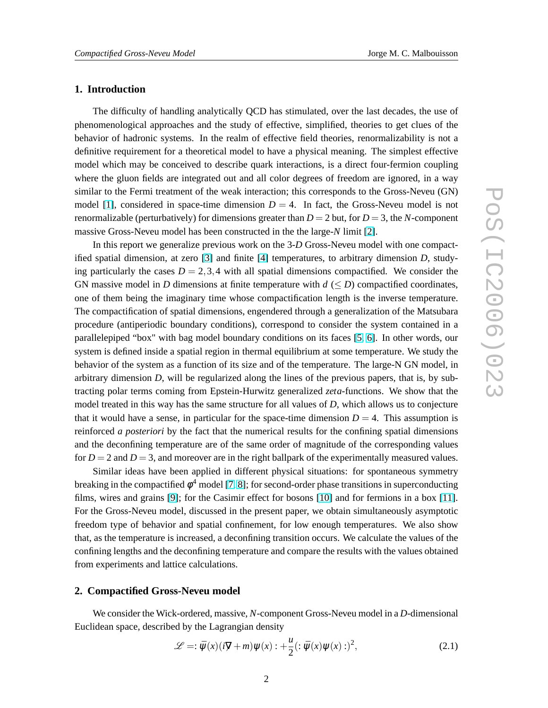## **1. Introduction**

The difficulty of handling analytically QCD has stimulated, over the last decades, the use of phenomenological approaches and the study of effective, simplified, theories to get clues of the behavior of hadronic systems. In the realm of effective field theories, renormalizability is not a definitive requirement for a theoretical model to have a physical meaning. The simplest effective model which may be conceived to describe quark interactions, is a direct four-fermion coupling where the gluon fields are integrated out and all color degrees of freedom are ignored, in a way similar to the Fermi treatment of the weak interaction; this corresponds to the Gross-Neveu (GN) model [\[1\]](#page-14-0), considered in space-time dimension  $D = 4$ . In fact, the Gross-Neveu model is not renormalizable (perturbatively) for dimensions greater than  $D = 2$  but, for  $D = 3$ , the *N*-component massive Gross-Neveu model has been constructed in the the large-*N* limit [\[2\]](#page-14-0).

In this report we generalize previous work on the 3-*D* Gross-Neveu model with one compactified spatial dimension, at zero [\[3\]](#page-14-0) and finite [\[4\]](#page-14-0) temperatures, to arbitrary dimension *D*, studying particularly the cases  $D = 2,3,4$  with all spatial dimensions compactified. We consider the GN massive model in *D* dimensions at finite temperature with  $d \le D$  compactified coordinates, one of them being the imaginary time whose compactification length is the inverse temperature. The compactification of spatial dimensions, engendered through a generalization of the Matsubara procedure (antiperiodic boundary conditions), correspond to consider the system contained in a parallelepiped "box" with bag model boundary conditions on its faces [\[5,](#page-14-0) [6\]](#page-14-0). In other words, our system is defined inside a spatial region in thermal equilibrium at some temperature. We study the behavior of the system as a function of its size and of the temperature. The large-N GN model, in arbitrary dimension *D*, will be regularized along the lines of the previous papers, that is, by subtracting polar terms coming from Epstein-Hurwitz generalized *zeta*-functions. We show that the model treated in this way has the same structure for all values of *D*, which allows us to conjecture that it would have a sense, in particular for the space-time dimension  $D = 4$ . This assumption is reinforced *a posteriori* by the fact that the numerical results for the confining spatial dimensions and the deconfining temperature are of the same order of magnitude of the corresponding values for  $D = 2$  and  $D = 3$ , and moreover are in the right ballpark of the experimentally measured values.

Similar ideas have been applied in different physical situations: for spontaneous symmetry breaking in the compactified  $\phi^4$  model [\[7,](#page-14-0) [8\]](#page-14-0); for second-order phase transitions in superconducting films, wires and grains [\[9\]](#page-14-0); for the Casimir effect for bosons [\[10\]](#page-14-0) and for fermions in a box [\[11\]](#page-14-0). For the Gross-Neveu model, discussed in the present paper, we obtain simultaneously asymptotic freedom type of behavior and spatial confinement, for low enough temperatures. We also show that, as the temperature is increased, a deconfining transition occurs. We calculate the values of the confining lengths and the deconfining temperature and compare the results with the values obtained from experiments and lattice calculations.

# **2. Compactified Gross-Neveu model**

We consider the Wick-ordered, massive, *N*-component Gross-Neveu model in a *D*-dimensional Euclidean space, described by the Lagrangian density

$$
\mathcal{L} = \tilde{\psi}(x)(i\overline{y} + m)\psi(x) : + \frac{u}{2} (\tilde{\psi}(x)\psi(x))^{2}, \qquad (2.1)
$$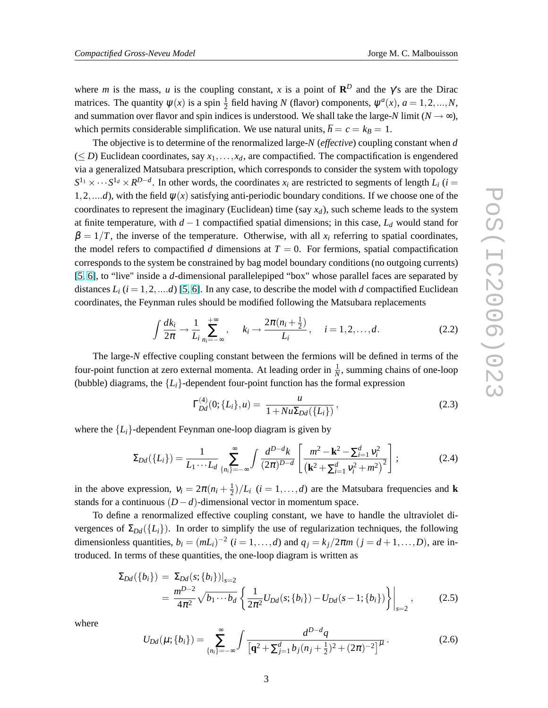<span id="page-2-0"></span>where *m* is the mass, *u* is the coupling constant, *x* is a point of  $\mathbb{R}^D$  and the  $\gamma$ 's are the Dirac matrices. The quantity  $\psi(x)$  is a spin  $\frac{1}{2}$  field having *N* (flavor) components,  $\psi^a(x)$ ,  $a = 1, 2, ..., N$ , and summation over flavor and spin indices is understood. We shall take the large-*N* limit ( $N \rightarrow \infty$ ), which permits considerable simplification. We use natural units,  $\hbar = c = k_B = 1$ .

The objective is to determine of the renormalized large-*N* (*effective*) coupling constant when *d*  $(\leq D)$  Euclidean coordinates, say  $x_1, \ldots, x_d$ , are compactified. The compactification is engendered via a generalized Matsubara prescription, which corresponds to consider the system with topology  $S^{1_1} \times \cdots S^{1_d} \times R^{D-d}$ . In other words, the coordinates  $x_i$  are restricted to segments of length  $L_i$  (*i* = 1,2,....*d*), with the field  $\psi(x)$  satisfying anti-periodic boundary conditions. If we choose one of the coordinates to represent the imaginary (Euclidean) time (say  $x_d$ ), such scheme leads to the system at finite temperature, with *d* −1 compactified spatial dimensions; in this case, *L<sup>d</sup>* would stand for  $\beta = 1/T$ , the inverse of the temperature. Otherwise, with all  $x_i$  referring to spatial coordinates, the model refers to compactified *d* dimensions at  $T = 0$ . For fermions, spatial compactification corresponds to the system be constrained by bag model boundary conditions (no outgoing currents) [\[5,](#page-14-0) [6\]](#page-14-0), to "live" inside a *d*-dimensional parallelepiped "box" whose parallel faces are separated by distances  $L_i$  ( $i = 1, 2, \dots d$ ) [\[5,](#page-14-0) [6\]](#page-14-0). In any case, to describe the model with *d* compactified Euclidean coordinates, the Feynman rules should be modified following the Matsubara replacements

$$
\int \frac{dk_i}{2\pi} \to \frac{1}{L_i} \sum_{n_i = -\infty}^{+\infty} , \quad k_i \to \frac{2\pi (n_i + \frac{1}{2})}{L_i} , \quad i = 1, 2, \dots, d. \tag{2.2}
$$

The large-*N* effective coupling constant between the fermions will be defined in terms of the four-point function at zero external momenta. At leading order in  $\frac{1}{N}$ , summing chains of one-loop (bubble) diagrams, the  ${L_i}$ -dependent four-point function has the formal expression

$$
\Gamma_{Dd}^{(4)}(0;\{L_i\},u) = \frac{u}{1 + Nu \Sigma_{Dd}(\{L_i\})},
$$
\n(2.3)

where the  ${L_i}$ -dependent Feynman one-loop diagram is given by

$$
\Sigma_{Dd}(\lbrace L_i \rbrace) = \frac{1}{L_1 \cdots L_d} \sum_{\lbrace n_i \rbrace = -\infty}^{\infty} \int \frac{d^{D-d}k}{(2\pi)^{D-d}} \left[ \frac{m^2 - k^2 - \sum_{i=1}^d v_i^2}{\left( k^2 + \sum_{i=1}^d v_i^2 + m^2 \right)^2} \right];
$$
(2.4)

in the above expression,  $v_i = 2\pi (n_i + \frac{1}{2})$  $\frac{1}{2}$ / $L_i$  (*i* = 1,...,*d*) are the Matsubara frequencies and **k** stands for a continuous  $(D - d)$ -dimensional vector in momentum space.

To define a renormalized effective coupling constant, we have to handle the ultraviolet divergences of  $\Sigma_{Dd}(\{L_i\})$ . In order to simplify the use of regularization techniques, the following dimensionless quantities,  $b_i = (mL_i)^{-2}$  ( $i = 1, ..., d$ ) and  $q_j = k_j/2\pi m$  ( $j = d + 1, ..., D$ ), are introduced. In terms of these quantities, the one-loop diagram is written as

$$
\Sigma_{Dd}(\{b_i\}) = \Sigma_{Dd}(s; \{b_i\})|_{s=2}
$$
  
= 
$$
\frac{m^{D-2}}{4\pi^2} \sqrt{b_1 \cdots b_d} \left\{ \frac{1}{2\pi^2} U_{Dd}(s; \{b_i\}) - U_{Dd}(s-1; \{b_i\}) \right\} \Big|_{s=2},
$$
 (2.5)

where

$$
U_{Dd}(\mu;\{b_i\}) = \sum_{\{n_i\}=-\infty}^{\infty} \int \frac{d^{D-d}q}{\left[\mathbf{q}^2 + \sum_{j=1}^d b_j(n_j + \frac{1}{2})^2 + (2\pi)^{-2}\right]^{\mu}}.
$$
 (2.6)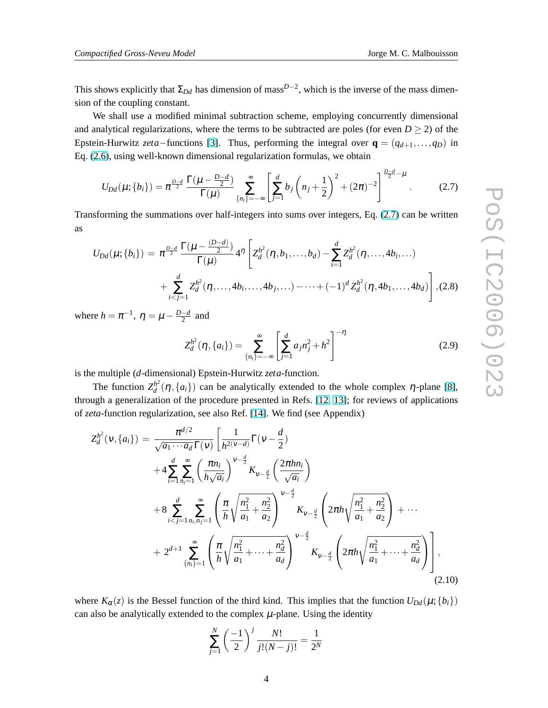<span id="page-3-0"></span>This shows explicitly that  $\Sigma_{Dd}$  has dimension of mass<sup>*D*−2</sup>, which is the inverse of the mass dimension of the coupling constant.

We shall use a modified minimal subtraction scheme, employing concurrently dimensional and analytical regularizations, where the terms to be subtracted are poles (for even  $D \ge 2$ ) of the Epstein-Hurwitz *zeta*−functions [\[3\]](#page-14-0). Thus, performing the integral over  $\mathbf{q} = (q_{d+1},...,q_D)$  in Eq. [\(2.6\)](#page-2-0), using well-known dimensional regularization formulas, we obtain

$$
U_{Dd}(\mu;\{b_i\}) = \pi^{\frac{D-d}{2}} \frac{\Gamma(\mu - \frac{D-d}{2})}{\Gamma(\mu)} \sum_{\{n_i\} = -\infty}^{\infty} \left[ \sum_{j=1}^{d} b_j \left( n_j + \frac{1}{2} \right)^2 + (2\pi)^{-2} \right]^{\frac{D-d}{2} - \mu}.
$$
 (2.7)

Transforming the summations over half-integers into sums over integers, Eq. (2.7) can be written as

$$
U_{Dd}(\mu;\{b_i\}) = \pi^{\frac{D-d}{2}} \frac{\Gamma(\mu - \frac{(D-d)}{2})}{\Gamma(\mu)} 4^{\eta} \left[ Z_d^{h^2}(\eta, b_1, \dots, b_d) - \sum_{i=1}^d Z_d^{h^2}(\eta, \dots, 4b_i, \dots) + \sum_{i < j=1}^d Z_d^{h^2}(\eta, \dots, 4b_i, \dots, 4b_j, \dots) - \dots + (-1)^d Z_d^{h^2}(\eta, 4b_1, \dots, 4b_d) \right], (2.8)
$$

where  $h = \pi^{-1}$ ,  $\eta = \mu - \frac{D-d}{2}$  $\frac{-d}{2}$  and

$$
Z_d^{h^2}(\eta, \{a_i\}) = \sum_{\{n_i\}=-\infty}^{\infty} \left[ \sum_{j=1}^d a_j n_j^2 + h^2 \right]^{-\eta}
$$
 (2.9)

is the multiple (*d*-dimensional) Epstein-Hurwitz *zeta*-function.

The function  $Z_d^{h^2}$  $d^h_d(\eta, \{a_i\})$  can be analytically extended to the whole complex  $\eta$ -plane [\[8\]](#page-14-0), through a generalization of the procedure presented in Refs. [\[12,](#page-14-0) [13\]](#page-14-0); for reviews of applications of *zeta*-function regularization, see also Ref. [\[14\]](#page-14-0). We find (see Appendix)

$$
Z_d^{h^2}(v, \{a_i\}) = \frac{\pi^{d/2}}{\sqrt{a_1 \cdots a_d} \Gamma(v)} \left[ \frac{1}{h^{2(v-d)}} \Gamma(v - \frac{d}{2}) \right.+4 \sum_{i=1}^d \sum_{n_i=1}^\infty \left( \frac{\pi n_i}{h \sqrt{a_i}} \right)^{v-\frac{d}{2}} K_{v-\frac{d}{2}} \left( \frac{2\pi h n_i}{\sqrt{a_i}} \right)+8 \sum_{i < j=1}^d \sum_{n_i, n_j=1}^\infty \left( \frac{\pi}{h} \sqrt{\frac{n_1^2}{a_1} + \frac{n_2^2}{a_2}} \right)^{v-\frac{d}{2}} K_{v-\frac{d}{2}} \left( 2\pi h \sqrt{\frac{n_1^2}{a_1} + \frac{n_2^2}{a_2}} \right) + \cdots+ 2^{d+1} \sum_{\{n_i\}=1}^\infty \left( \frac{\pi}{h} \sqrt{\frac{n_1^2}{a_1} + \cdots + \frac{n_d^2}{a_d}} \right)^{v-\frac{d}{2}} K_{v-\frac{d}{2}} \left( 2\pi h \sqrt{\frac{n_1^2}{a_1} + \cdots + \frac{n_d^2}{a_d}} \right), \tag{2.10}
$$

where  $K_{\alpha}(z)$  is the Bessel function of the third kind. This implies that the function  $U_{Dd}(\mu;\{b_i\})$ can also be analytically extended to the complex  $\mu$ -plane. Using the identity

$$
\sum_{j=1}^{N} \left(\frac{-1}{2}\right)^j \frac{N!}{j!(N-j)!} = \frac{1}{2^N}
$$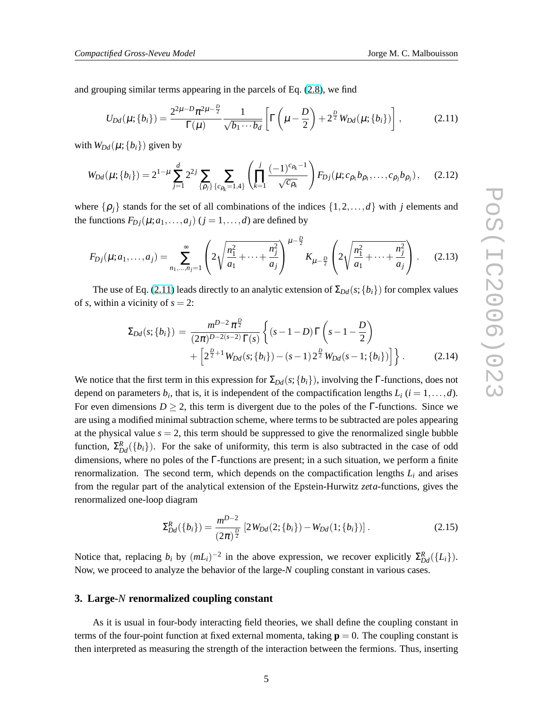<span id="page-4-0"></span>and grouping similar terms appearing in the parcels of Eq. [\(2.8\)](#page-3-0), we find

$$
U_{Dd}(\mu;\{b_i\}) = \frac{2^{2\mu - D} \pi^{2\mu - \frac{D}{2}}}{\Gamma(\mu)} \frac{1}{\sqrt{b_1 \cdots b_d}} \left[ \Gamma\left(\mu - \frac{D}{2}\right) + 2^{\frac{D}{2}} W_{Dd}(\mu;\{b_i\}) \right],
$$
 (2.11)

with  $W_{Dd}(\mu;\{b_i\})$  given by

$$
W_{Dd}(\mu;\{b_i\}) = 2^{1-\mu} \sum_{j=1}^d 2^{2j} \sum_{\{\rho_j\}} \sum_{\{c_{\rho_k}=1,4\}} \left( \prod_{k=1}^j \frac{(-1)^{c_{\rho_k}-1}}{\sqrt{c_{\rho_k}}} \right) F_{Dj}(\mu; c_{\rho_1} b_{\rho_1}, \dots, c_{\rho_j} b_{\rho_j}), \quad (2.12)
$$

where  $\{\rho_j\}$  stands for the set of all combinations of the indices  $\{1,2,\ldots,d\}$  with *j* elements and the functions  $F_{D_i}(\mu; a_1, \ldots, a_i)$  ( $j = 1, \ldots, d$ ) are defined by

$$
F_{Dj}(\mu;a_1,\ldots,a_j) = \sum_{n_1,\ldots,n_j=1}^{\infty} \left(2\sqrt{\frac{n_1^2}{a_1}+\cdots+\frac{n_j^2}{a_j}}\right)^{\mu-\frac{D}{2}} K_{\mu-\frac{D}{2}}\left(2\sqrt{\frac{n_1^2}{a_1}+\cdots+\frac{n_j^2}{a_j}}\right). \tag{2.13}
$$

The use of Eq. (2.11) leads directly to an analytic extension of  $\Sigma_{Dd}(s; \{b_i\})$  for complex values of *s*, within a vicinity of  $s = 2$ :

$$
\Sigma_{Dd}(s; \{b_i\}) = \frac{m^{D-2} \pi^{\frac{D}{2}}}{(2\pi)^{D-2(s-2)} \Gamma(s)} \left\{ (s-1-D) \Gamma\left(s-1-\frac{D}{2}\right) + \left[2^{\frac{D}{2}+1} W_{Dd}(s; \{b_i\}) - (s-1) 2^{\frac{D}{2}} W_{Dd}(s-1; \{b_i\}) \right] \right\}.
$$
\n(2.14)

We notice that the first term in this expression for  $\Sigma_{Dd}(s; \{b_i\})$ , involving the Γ-functions, does not depend on parameters  $b_i$ , that is, it is independent of the compactification lengths  $L_i$  ( $i = 1, \ldots, d$ ). For even dimensions  $D \ge 2$ , this term is divergent due to the poles of the Γ-functions. Since we are using a modified minimal subtraction scheme, where terms to be subtracted are poles appearing at the physical value  $s = 2$ , this term should be suppressed to give the renormalized single bubble function,  $\Sigma_{Dd}^R(\{b_i\})$ . For the sake of uniformity, this term is also subtracted in the case of odd dimensions, where no poles of the Γ-functions are present; in a such situation, we perform a finite renormalization. The second term, which depends on the compactification lengths *L<sup>i</sup>* and arises from the regular part of the analytical extension of the Epstein-Hurwitz *zeta*-functions, gives the renormalized one-loop diagram

$$
\Sigma_{Dd}^{R}(\{b_{i}\}) = \frac{m^{D-2}}{(2\pi)^{\frac{D}{2}}} \left[2W_{Dd}(2;\{b_{i}\}) - W_{Dd}(1;\{b_{i}\})\right].
$$
\n(2.15)

Notice that, replacing  $b_i$  by  $(mL_i)^{-2}$  in the above expression, we recover explicitly  $\Sigma_{Dd}^R({L_i})$ . Now, we proceed to analyze the behavior of the large-*N* coupling constant in various cases.

## **3. Large-***N* **renormalized coupling constant**

As it is usual in four-body interacting field theories, we shall define the coupling constant in terms of the four-point function at fixed external momenta, taking  $\mathbf{p} = 0$ . The coupling constant is then interpreted as measuring the strength of the interaction between the fermions. Thus, inserting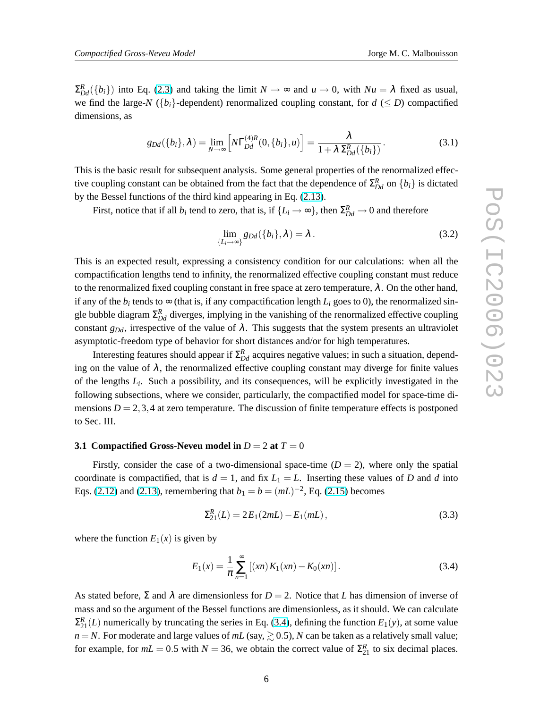<span id="page-5-0"></span> $\Sigma_{Dd}^R(\{b_i\})$  into Eq. [\(2.3\)](#page-2-0) and taking the limit  $N \to \infty$  and  $u \to 0$ , with  $Nu = \lambda$  fixed as usual, we find the large-*N* ( $\{b_i\}$ -dependent) renormalized coupling constant, for  $d \le D$ ) compactified dimensions, as

$$
g_{Dd}(\{b_i\}, \lambda) = \lim_{N \to \infty} \left[ N \Gamma_{Dd}^{(4)R}(0, \{b_i\}, u) \right] = \frac{\lambda}{1 + \lambda \Sigma_{Dd}^R(\{b_i\})}.
$$
 (3.1)

This is the basic result for subsequent analysis. Some general properties of the renormalized effective coupling constant can be obtained from the fact that the dependence of  $\Sigma_{Dd}^R$  on  $\{b_i\}$  is dictated by the Bessel functions of the third kind appearing in Eq. [\(2.13\)](#page-4-0).

First, notice that if all  $b_i$  tend to zero, that is, if  $\{L_i \to \infty\}$ , then  $\Sigma_{Dd}^R \to 0$  and therefore

$$
\lim_{\{L_i \to \infty\}} g_{Dd}(\{b_i\}, \lambda) = \lambda.
$$
\n(3.2)

This is an expected result, expressing a consistency condition for our calculations: when all the compactification lengths tend to infinity, the renormalized effective coupling constant must reduce to the renormalized fixed coupling constant in free space at zero temperature,  $\lambda$ . On the other hand, if any of the  $b_i$  tends to  $\infty$  (that is, if any compactification length  $L_i$  goes to 0), the renormalized single bubble diagram  $\Sigma_{Dd}^R$  diverges, implying in the vanishing of the renormalized effective coupling constant  $g_{Dd}$ , irrespective of the value of  $\lambda$ . This suggests that the system presents an ultraviolet asymptotic-freedom type of behavior for short distances and/or for high temperatures.

Interesting features should appear if  $\Sigma_{Dd}^R$  acquires negative values; in such a situation, depending on the value of  $\lambda$ , the renormalized effective coupling constant may diverge for finite values of the lengths *L<sup>i</sup>* . Such a possibility, and its consequences, will be explicitly investigated in the following subsections, where we consider, particularly, the compactified model for space-time dimensions  $D = 2, 3, 4$  at zero temperature. The discussion of finite temperature effects is postponed to Sec. III.

#### **3.1 Compactified Gross-Neveu model in**  $D = 2$  at  $T = 0$

Firstly, consider the case of a two-dimensional space-time  $(D = 2)$ , where only the spatial coordinate is compactified, that is  $d = 1$ , and fix  $L_1 = L$ . Inserting these values of *D* and *d* into Eqs. [\(2.12\)](#page-4-0) and [\(2.13\)](#page-4-0), remembering that  $b_1 = b = (mL)^{-2}$ , Eq. [\(2.15\)](#page-4-0) becomes

$$
\Sigma_{21}^{R}(L) = 2E_1(2mL) - E_1(mL), \qquad (3.3)
$$

where the function  $E_1(x)$  is given by

$$
E_1(x) = \frac{1}{\pi} \sum_{n=1}^{\infty} [(xn) K_1(xn) - K_0(xn)].
$$
 (3.4)

As stated before,  $\Sigma$  and  $\lambda$  are dimensionless for  $D = 2$ . Notice that *L* has dimension of inverse of mass and so the argument of the Bessel functions are dimensionless, as it should. We can calculate  $\Sigma_{21}^{R}(L)$  numerically by truncating the series in Eq. (3.4), defining the function  $E_1(y)$ , at some value  $n = N$ . For moderate and large values of  $mL$  (say,  $\geq 0.5$ ), *N* can be taken as a relatively small value; for example, for  $mL = 0.5$  with  $N = 36$ , we obtain the correct value of  $\Sigma_{21}^R$  to six decimal places.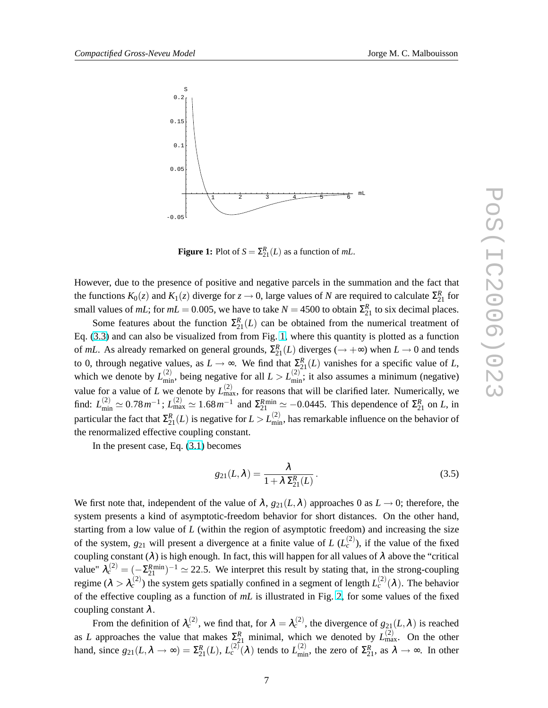

<span id="page-6-0"></span>

**Figure 1:** Plot of  $S = \sum_{21}^{R} (L)$  as a function of *mL*.

However, due to the presence of positive and negative parcels in the summation and the fact that the functions  $K_0(z)$  and  $K_1(z)$  diverge for  $z \to 0$ , large values of *N* are required to calculate  $\Sigma_{21}^R$  for small values of *mL*; for  $mL = 0.005$ , we have to take  $N = 4500$  to obtain  $\Sigma_{21}^R$  to six decimal places.

Some features about the function  $\Sigma_{21}^{R}(L)$  can be obtained from the numerical treatment of Eq. [\(3.3\)](#page-5-0) and can also be visualized from from Fig. 1, where this quantity is plotted as a function of *mL*. As already remarked on general grounds,  $\Sigma_{21}^{R}(L)$  diverges ( $\rightarrow +\infty$ ) when  $L \rightarrow 0$  and tends to 0, through negative values, as  $L \to \infty$ . We find that  $\sum_{i=1}^{R} (L)$  vanishes for a specific value of *L*, which we denote by  $L_{\text{min}}^{(2)}$ , being negative for all  $L > L_{\text{min}}^{(2)}$ ; it also assumes a minimum (negative) value for a value of *L* we denote by  $L_{\text{max}}^{(2)}$ , for reasons that will be clarified later. Numerically, we find:  $L_{\text{min}}^{(2)} \simeq 0.78 \, \text{m}^{-1}$ ;  $L_{\text{max}}^{(2)} \simeq 1.68 \, \text{m}^{-1}$  and  $\Sigma_{21}^{\text{Rmin}} \simeq -0.0445$ . This dependence of  $\Sigma_{21}^{\text{R}}$  on *L*, in particular the fact that  $\Sigma_{21}^R(L)$  is negative for  $L > L_{\text{min}}^{(2)}$ , has remarkable influence on the behavior of the renormalized effective coupling constant.

In the present case, Eq. [\(3.1\)](#page-5-0) becomes

$$
g_{21}(L,\lambda) = \frac{\lambda}{1 + \lambda \Sigma_{21}^R(L)}.
$$
\n(3.5)

We first note that, independent of the value of  $\lambda$ ,  $g_{21}(L,\lambda)$  approaches 0 as  $L \to 0$ ; therefore, the system presents a kind of asymptotic-freedom behavior for short distances. On the other hand, starting from a low value of *L* (within the region of asymptotic freedom) and increasing the size of the system,  $g_{21}$  will present a divergence at a finite value of *L* ( $L_c^{(2)}$ ), if the value of the fixed coupling constant ( $\lambda$ ) is high enough. In fact, this will happen for all values of  $\lambda$  above the "critical value"  $\lambda_c^{(2)} = (-\Sigma_{21}^{Rmin})^{-1} \simeq 22.5$ . We interpret this result by stating that, in the strong-coupling regime  $(\lambda > \lambda_c^{(2)})$  the system gets spatially confined in a segment of length  $L_c^{(2)}(\lambda)$ . The behavior of the effective coupling as a function of *mL* is illustrated in Fig. [2,](#page-7-0) for some values of the fixed coupling constant  $\lambda$ .

From the definition of  $\lambda_c^{(2)}$ , we find that, for  $\lambda = \lambda_c^{(2)}$ , the divergence of  $g_{21}(L,\lambda)$  is reached as *L* approaches the value that makes  $\sum_{i=1}^{R}$  minimal, which we denoted by  $L_{\text{max}}^{(2)}$ . On the other hand, since  $g_{21}(L, \lambda \to \infty) = \Sigma_{21}^{R}(L), L_c^{(2)}(\lambda)$  tends to  $L_{\text{min}}^{(2)}$ , the zero of  $\Sigma_{21}^{R}$ , as  $\lambda \to \infty$ . In other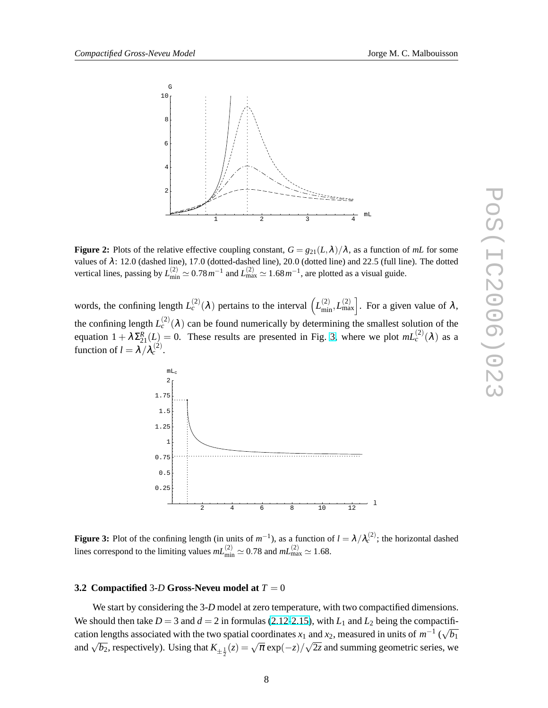<span id="page-7-0"></span>

**Figure 2:** Plots of the relative effective coupling constant,  $G = g_{21}(L,\lambda)/\lambda$ , as a function of *mL* for some values of λ: 12.0 (dashed line), 17.0 (dotted-dashed line), 20.0 (dotted line) and 22.5 (full line). The dotted vertical lines, passing by  $L_{\text{min}}^{(2)} \simeq 0.78 \, m^{-1}$  and  $L_{\text{max}}^{(2)} \simeq 1.68 \, m^{-1}$ , are plotted as a visual guide.

words, the confining length  $L_c^{(2)}(\lambda)$  pertains to the interval  $\left(L_{\text{min}}^{(2)}, L_{\text{max}}^{(2)}\right]$ . For a given value of  $\lambda$ , the confining length  $L_c^{(2)}(\lambda)$  can be found numerically by determining the smallest solution of the equation  $1 + \lambda \Sigma_{21}^R(L) = 0$ . These results are presented in Fig. 3, where we plot  $mL_c^{(2)}(\lambda)$  as a function of  $l = \lambda / \lambda_c^{(2)}$ .



**Figure 3:** Plot of the confining length (in units of  $m^{-1}$ ), as a function of  $l = \lambda / \lambda_c^{(2)}$ ; the horizontal dashed lines correspond to the limiting values  $mL_{\text{min}}^{(2)} \simeq 0.78$  and  $mL_{\text{max}}^{(2)} \simeq 1.68$ .

#### **3.2 Compactified** 3**-***D* **Gross-Neveu model at** *T* = 0

We start by considering the 3-*D* model at zero temperature, with two compactified dimensions. We should then take  $D = 3$  and  $d = 2$  in formulas [\(2.12-2.15\)](#page-4-0), with  $L_1$  and  $L_2$  being the compactification lengths associated with the two spatial coordinates *x*<sub>1</sub> and *x*<sub>2</sub>, measured in units of  $m^{-1}$  ( $\sqrt{b_1}$ ) and  $\sqrt{b_2}$ , respectively). Using that  $K_{\pm \frac{1}{2}}(z) = \sqrt{\pi} \exp(-z)/\sqrt{2z}$  and summing geometric series, we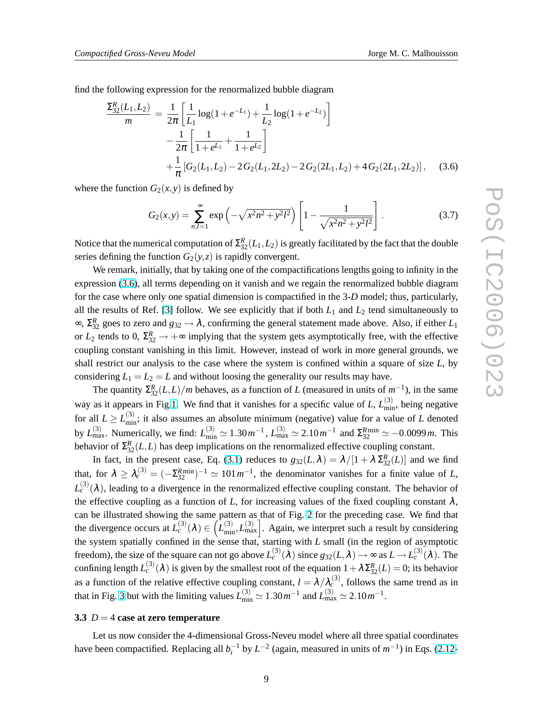<span id="page-8-0"></span>find the following expression for the renormalized bubble diagram

$$
\frac{\Sigma_{32}^{R}(L_1, L_2)}{m} = \frac{1}{2\pi} \left[ \frac{1}{L_1} \log(1 + e^{-L_1}) + \frac{1}{L_2} \log(1 + e^{-L_2}) \right]
$$

$$
- \frac{1}{2\pi} \left[ \frac{1}{1 + e^{L_1}} + \frac{1}{1 + e^{L_2}} \right]
$$

$$
+ \frac{1}{\pi} \left[ G_2(L_1, L_2) - 2 G_2(L_1, 2L_2) - 2 G_2(2L_1, L_2) + 4 G_2(2L_1, 2L_2) \right], \quad (3.6)
$$

where the function  $G_2(x, y)$  is defined by

$$
G_2(x,y) = \sum_{n,l=1}^{\infty} \exp\left(-\sqrt{x^2n^2 + y^2l^2}\right) \left[1 - \frac{1}{\sqrt{x^2n^2 + y^2l^2}}\right].
$$
 (3.7)

Notice that the numerical computation of  $\Sigma_{32}^R(L_1,L_2)$  is greatly facilitated by the fact that the double series defining the function  $G_2(y, z)$  is rapidly convergent.

We remark, initially, that by taking one of the compactifications lengths going to infinity in the expression (3.6), all terms depending on it vanish and we regain the renormalized bubble diagram for the case where only one spatial dimension is compactified in the 3-*D* model; thus, particularly, all the results of Ref. [\[3\]](#page-14-0) follow. We see explicitly that if both  $L_1$  and  $L_2$  tend simultaneously to  $\infty$ ,  $\Sigma_{32}^R$  goes to zero and  $g_{32} \to \lambda$ , confirming the general statement made above. Also, if either  $L_1$ or  $L_2$  tends to 0,  $\Sigma_{32}^R \rightarrow +\infty$  implying that the system gets asymptotically free, with the effective coupling constant vanishing in this limit. However, instead of work in more general grounds, we shall restrict our analysis to the case where the system is confined within a square of size *L*, by considering  $L_1 = L_2 = L$  and without loosing the generality our results may have.

The quantity  $\Sigma_{32}^{R}(L,L)/m$  behaves, as a function of *L* (measured in units of  $m^{-1}$ ), in the same way as it appears in Fig[.1.](#page-6-0) We find that it vanishes for a specific value of *L*,  $L_{\text{min}}^{(3)}$ , being negative for all  $L \ge L_{\text{min}}^{(3)}$ ; it also assumes an absolute minimum (negative) value for a value of *L* denoted by  $L_{\text{max}}^{(3)}$ . Numerically, we find:  $L_{\text{min}}^{(3)} \simeq 1.30 \, m^{-1}$ ,  $L_{\text{max}}^{(3)} \simeq 2.10 \, m^{-1}$  and  $\Sigma_{32}^{R \text{min}} \simeq -0.0099 \, m$ . This behavior of  $\Sigma_{32}^R(L,L)$  has deep implications on the renormalized effective coupling constant.

In fact, in the present case, Eq. [\(3.1\)](#page-5-0) reduces to  $g_{32}(L,\lambda) = \lambda/[1 + \lambda \Sigma_{32}^R(L)]$  and we find that, for  $\lambda \geq \lambda_c^{(3)} = (-\Sigma_{32}^{Rmin})^{-1} \simeq 101 \, \text{m}^{-1}$ , the denominator vanishes for a finite value of *L*,  $L_c^{(3)}(\lambda)$ , leading to a divergence in the renormalized effective coupling constant. The behavior of the effective coupling as a function of *L*, for increasing values of the fixed coupling constant  $\lambda$ , can be illustrated showing the same pattern as that of Fig. [2](#page-7-0) for the preceding case. We find that can be illustrated showing the same pattern as that of Fig. 2 for the preceding case. We find that the divergence occurs at  $L_c^{(3)}(\lambda) \in (L_{\text{min}}^{(3)}, L_{\text{max}}^{(3)})$ . Again, we interpret such a result by considering the system spatially confined in the sense that, starting with *L* small (in the region of asymptotic freedom), the size of the square can not go above  $L_c^{(3)}(\lambda)$  since  $g_{32}(L,\lambda) \to \infty$  as  $L \to L_c^{(3)}(\lambda)$ . The confining length  $L_c^{(3)}(\lambda)$  is given by the smallest root of the equation  $1+\lambda \Sigma_{32}^R(L) = 0$ ; its behavior as a function of the relative effective coupling constant,  $l = \lambda / \lambda_c^{(3)}$ , follows the same trend as in that in Fig. [3](#page-7-0) but with the limiting values  $L_{\text{min}}^{(3)} \simeq 1.30 \, \text{m}^{-1}$  and  $L_{\text{max}}^{(3)} \simeq 2.10 \, \text{m}^{-1}$ .

#### **3.3** *D* = 4 **case at zero temperature**

Let us now consider the 4-dimensional Gross-Neveu model where all three spatial coordinates have been compactified. Replacing all  $b_i^{-1}$  by  $L^{-2}$  (again, measured in units of  $m^{-1}$ ) in Eqs. [\(2.12-](#page-4-0)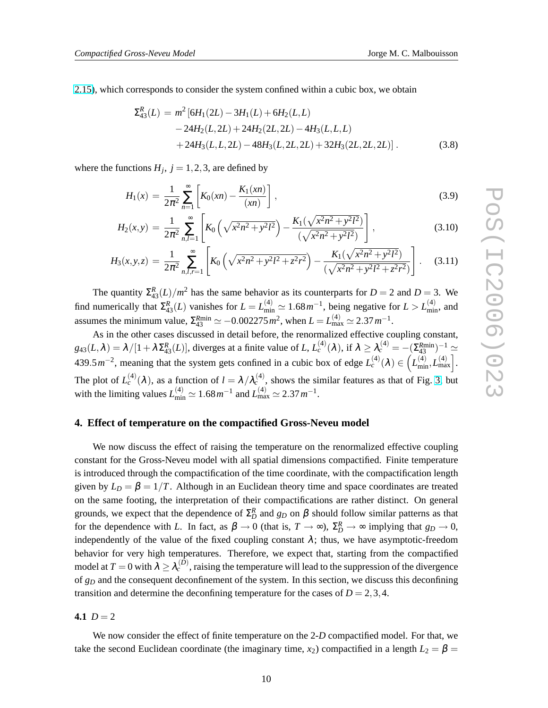<span id="page-9-0"></span>[2.15\)](#page-4-0), which corresponds to consider the system confined within a cubic box, we obtain

$$
\Sigma_{43}^{R}(L) = m^{2} [6H_{1}(2L) - 3H_{1}(L) + 6H_{2}(L, L) \n- 24H_{2}(L, 2L) + 24H_{2}(2L, 2L) - 4H_{3}(L, L, L) \n+ 24H_{3}(L, L, 2L) - 48H_{3}(L, 2L, 2L) + 32H_{3}(2L, 2L, 2L)].
$$
\n(3.8)

where the functions  $H_j$ ,  $j = 1, 2, 3$ , are defined by

$$
H_1(x) = \frac{1}{2\pi^2} \sum_{n=1}^{\infty} \left[ K_0(xn) - \frac{K_1(xn)}{(xn)} \right],
$$
\n(3.9)

$$
H_2(x,y) = \frac{1}{2\pi^2} \sum_{n,l=1}^{\infty} \left[ K_0 \left( \sqrt{x^2 n^2 + y^2 l^2} \right) - \frac{K_1(\sqrt{x^2 n^2 + y^2 l^2})}{(\sqrt{x^2 n^2 + y^2 l^2})} \right],
$$
(3.10)

$$
H_3(x, y, z) = \frac{1}{2\pi^2} \sum_{n,l,r=1}^{\infty} \left[ K_0 \left( \sqrt{x^2 n^2 + y^2 l^2 + z^2 r^2} \right) - \frac{K_1(\sqrt{x^2 n^2 + y^2 l^2})}{(\sqrt{x^2 n^2 + y^2 l^2 + z^2 r^2})} \right].
$$
 (3.11)

The quantity  $\Sigma_{43}^R(L)/m^2$  has the same behavior as its counterparts for  $D = 2$  and  $D = 3$ . We find numerically that  $\Sigma_{43}^R(L)$  vanishes for  $L = L_{\text{min}}^{(4)} \simeq 1.68 \, \text{m}^{-1}$ , being negative for  $L > L_{\text{min}}^{(4)}$ , and assumes the minimum value,  $\Sigma_{43}^{Rmin} \simeq -0.002275 \, m^2$ , when  $L = L_{\text{max}}^{(4)} \simeq 2.37 \, m^{-1}$ .

As in the other cases discussed in detail before, the renormalized effective coupling constant,  $g_{43}(L,\lambda) = \lambda/[1 + \lambda \Sigma_{43}^R(L)]$ , diverges at a finite value of L,  $L_c^{(4)}(\lambda)$ , if  $\lambda \ge \lambda_c^{(4)} = -(\Sigma_{43}^{Rmin})^{-1} \approx 439.5 \, m^{-2}$ , meaning that the system gets confined in a cubic box of edge  $L_c^{(4)}(\lambda) \in (L_{min}^{(4)}, L_{max}^{(4)}]$ . ا - $L_{\text{min}}^{(4)}, L_{\text{max}}^{(4)}$ . The plot of  $L_c^{(4)}(\lambda)$ , as a function of  $l = \lambda/\lambda_c^{(4)}$ , shows the similar features as that of Fig. [3,](#page-7-0) but with the limiting values  $L_{\text{min}}^{(4)} \simeq 1.68 \, m^{-1}$  and  $L_{\text{max}}^{(4)} \simeq 2.37 \, m^{-1}$ .

## **4. Effect of temperature on the compactified Gross-Neveu model**

We now discuss the effect of raising the temperature on the renormalized effective coupling constant for the Gross-Neveu model with all spatial dimensions compactified. Finite temperature is introduced through the compactification of the time coordinate, with the compactification length given by  $L_D = \beta = 1/T$ . Although in an Euclidean theory time and space coordinates are treated on the same footing, the interpretation of their compactifications are rather distinct. On general grounds, we expect that the dependence of  $\Sigma_D^R$  and  $g_D$  on  $\beta$  should follow similar patterns as that for the dependence with *L*. In fact, as  $\beta \to 0$  (that is,  $T \to \infty$ ),  $\Sigma_D^R \to \infty$  implying that  $g_D \to 0$ , independently of the value of the fixed coupling constant  $\lambda$ ; thus, we have asymptotic-freedom behavior for very high temperatures. Therefore, we expect that, starting from the compactified model at  $T = 0$  with  $\lambda \geq \lambda_c^{(D)}$ , raising the temperature will lead to the suppression of the divergence of *g<sup>D</sup>* and the consequent deconfinement of the system. In this section, we discuss this deconfining transition and determine the deconfining temperature for the cases of  $D = 2,3,4$ .

4.1  $D = 2$ 

We now consider the effect of finite temperature on the 2-*D* compactified model. For that, we take the second Euclidean coordinate (the imaginary time,  $x_2$ ) compactified in a length  $L_2 = \beta =$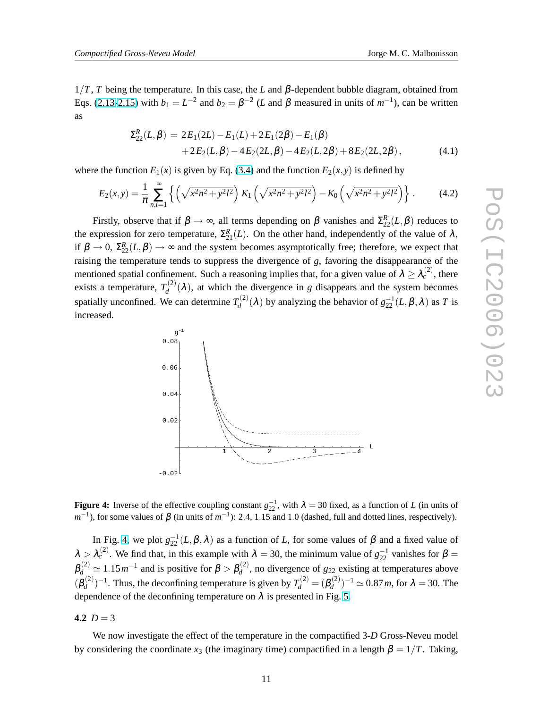<span id="page-10-0"></span> $1/T$ , *T* being the temperature. In this case, the *L* and  $\beta$ -dependent bubble diagram, obtained from Eqs. [\(2.13-2.15\)](#page-4-0) with  $b_1 = L^{-2}$  and  $b_2 = \beta^{-2}$  (*L* and  $\beta$  measured in units of  $m^{-1}$ ), can be written as

$$
\Sigma_{22}^{R}(L,\beta) = 2E_1(2L) - E_1(L) + 2E_1(2\beta) - E_1(\beta)
$$
  
+2E\_2(L,\beta) - 4E\_2(2L,\beta) - 4E\_2(L,2\beta) + 8E\_2(2L,2\beta), (4.1)

where the function  $E_1(x)$  is given by Eq. [\(3.4\)](#page-5-0) and the function  $E_2(x, y)$  is defined by

$$
E_2(x,y) = \frac{1}{\pi} \sum_{n,l=1}^{\infty} \left\{ \left( \sqrt{x^2 n^2 + y^2 l^2} \right) K_1 \left( \sqrt{x^2 n^2 + y^2 l^2} \right) - K_0 \left( \sqrt{x^2 n^2 + y^2 l^2} \right) \right\}.
$$
 (4.2)

Firstly, observe that if  $\beta \to \infty$ , all terms depending on  $\beta$  vanishes and  $\Sigma_{22}^R(L,\beta)$  reduces to the expression for zero temperature,  $\Sigma_{21}^{R}(L)$ . On the other hand, independently of the value of  $\lambda$ , if  $\beta \to 0$ ,  $\Sigma_{22}^R(L,\beta) \to \infty$  and the system becomes asymptotically free; therefore, we expect that raising the temperature tends to suppress the divergence of *g*, favoring the disappearance of the mentioned spatial confinement. Such a reasoning implies that, for a given value of  $\lambda \geq \lambda_c^{(2)}$ , there exists a temperature,  $T_d^{(2)}$  $d_d^{(2)}(\lambda)$ , at which the divergence in *g* disappears and the system becomes spatially unconfined. We can determine  $T_d^{(2)}$  $g_d^{(2)}(\lambda)$  by analyzing the behavior of  $g_{22}^{-1}(L,\beta,\lambda)$  as *T* is increased.



**Figure 4:** Inverse of the effective coupling constant  $g_{22}^{-1}$ , with  $\lambda = 30$  fixed, as a function of *L* (in units of  $m^{-1}$ ), for some values of  $\beta$  (in units of  $m^{-1}$ ): 2.4, 1.15 and 1.0 (dashed, full and dotted lines, respectively).

In Fig. 4, we plot  $g_{22}^{-1}(L,\beta,\lambda)$  as a function of *L*, for some values of  $\beta$  and a fixed value of  $\lambda > \lambda_c^{(2)}$ . We find that, in this example with  $\lambda = 30$ , the minimum value of  $g_{22}^{-1}$  vanishes for  $\beta =$  $\beta_d^{(2)} \simeq 1.15 \, m^{-1}$  and is positive for  $\beta > \beta_d^{(2)}$  $d_d^{(2)}$ , no divergence of  $g_{22}$  existing at temperatures above  $(\beta_d^{(2)}$  $g_d^{(2)}$ )<sup>-1</sup>. Thus, the deconfining temperature is given by  $T_d^{(2)} = (\beta_d^{(2)})$  $\chi_d^{(2)}$ )<sup>-1</sup>  $\simeq$  0.87*m*, for  $\lambda = 30$ . The dependence of the deconfining temperature on  $\lambda$  is presented in Fig. [5.](#page-11-0)

#### 4.2  $D = 3$

We now investigate the effect of the temperature in the compactified 3-*D* Gross-Neveu model by considering the coordinate  $x_3$  (the imaginary time) compactified in a length  $\beta = 1/T$ . Taking,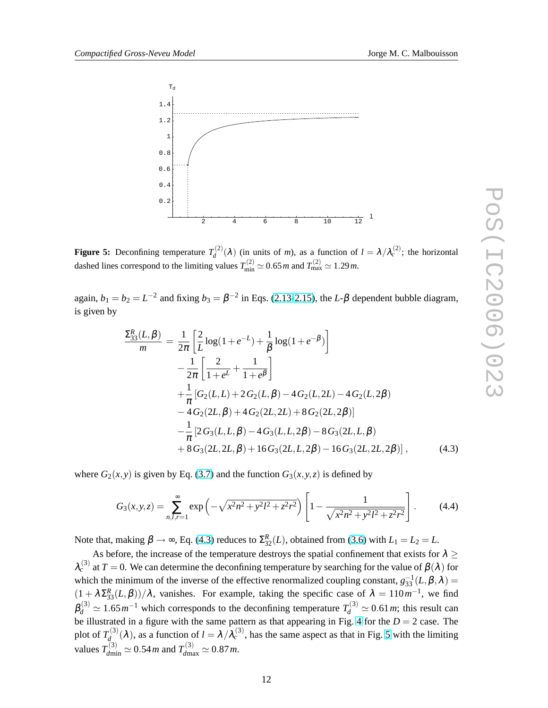<span id="page-11-0"></span>

**Figure 5:** Deconfining temperature  $T_d^{(2)}$  $d^{(2)}(\lambda)$  (in units of *m*), as a function of  $l = \lambda/\lambda_c^{(2)}$ ; the horizontal dashed lines correspond to the limiting values  $T_{\text{min}}^{(2)} \simeq 0.65 \, \text{m}$  and  $T_{\text{max}}^{(2)} \simeq 1.29 \, \text{m}$ .

again,  $b_1 = b_2 = L^{-2}$  and fixing  $b_3 = \beta^{-2}$  in Eqs. [\(2.13-2.15\)](#page-4-0), the *L*- $\beta$  dependent bubble diagram, is given by

$$
\frac{\Sigma_{33}^{R}(L,\beta)}{m} = \frac{1}{2\pi} \left[ \frac{2}{L} \log(1+e^{-L}) + \frac{1}{\beta} \log(1+e^{-\beta}) \right] \n- \frac{1}{2\pi} \left[ \frac{2}{1+e^{L}} + \frac{1}{1+e^{\beta}} \right] \n+ \frac{1}{\pi} \left[ G_{2}(L,L) + 2 G_{2}(L,\beta) - 4 G_{2}(L,2L) - 4 G_{2}(L,2\beta) \right] \n- 4 G_{2}(2L,\beta) + 4 G_{2}(2L,2L) + 8 G_{2}(2L,2\beta)] \n- \frac{1}{\pi} \left[ 2 G_{3}(L,L,\beta) - 4 G_{3}(L,L,2\beta) - 8 G_{3}(2L,L,\beta) \right] \n+ 8 G_{3}(2L,2L,\beta) + 16 G_{3}(2L,L,2\beta) - 16 G_{3}(2L,2L,2\beta) \right], \quad (4.3)
$$

where  $G_2(x, y)$  is given by Eq. [\(3.7\)](#page-8-0) and the function  $G_3(x, y, z)$  is defined by

$$
G_3(x, y, z) = \sum_{n, l, r=1}^{\infty} \exp\left(-\sqrt{x^2 n^2 + y^2 l^2 + z^2 r^2}\right) \left[1 - \frac{1}{\sqrt{x^2 n^2 + y^2 l^2 + z^2 r^2}}\right].
$$
 (4.4)

Note that, making  $\beta \rightarrow \infty$ , Eq. (4.3) reduces to  $\Sigma_{32}^R(L)$ , obtained from [\(3.6\)](#page-8-0) with  $L_1 = L_2 = L$ .

As before, the increase of the temperature destroys the spatial confinement that exists for  $\lambda \geq$  $\lambda_c^{(3)}$  at  $T=0$ . We can determine the deconfining temperature by searching for the value of  $\beta(\lambda)$  for which the minimum of the inverse of the effective renormalized coupling constant,  $g_{33}^{-1}(L,\beta,\lambda)$  =  $(1 + \lambda \Sigma_{33}^R(L, \beta))/\lambda$ , vanishes. For example, taking the specific case of  $\lambda = 110 m^{-1}$ , we find  $\beta_d^{(3)} \simeq 1.65 \, m^{-1}$  which corresponds to the deconfining temperature  $T_d^{(3)} \simeq 0.61 \, m$ ; this result can be illustrated in a figure with the same pattern as that appearing in Fig. [4](#page-10-0) for the  $D = 2$  case. The plot of  $T_d^{(3)}$  $d_{d}^{(3)}(\lambda)$ , as a function of  $l = \lambda/\lambda_c^{(3)}$ , has the same aspect as that in Fig. 5 with the limiting values  $T_{dmin}^{(3)} \simeq 0.54 \, m$  and  $T_{dmax}^{(3)} \simeq 0.87 \, m$ .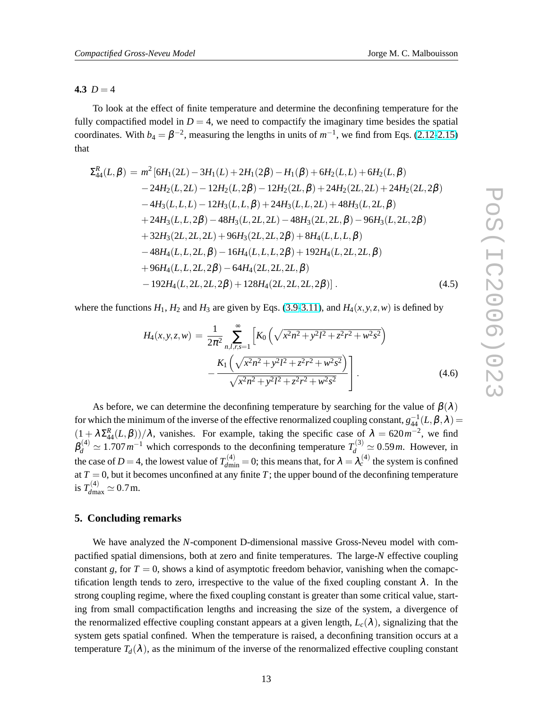# 4.3  $D = 4$

To look at the effect of finite temperature and determine the deconfining temperature for the fully compactified model in  $D = 4$ , we need to compactify the imaginary time besides the spatial coordinates. With  $b_4 = \beta^{-2}$ , measuring the lengths in units of  $m^{-1}$ , we find from Eqs. [\(2.12-2.15\)](#page-4-0) that

$$
\Sigma_{44}^{R}(L,\beta) = m^{2} [6H_{1}(2L) - 3H_{1}(L) + 2H_{1}(2\beta) - H_{1}(\beta) + 6H_{2}(L,L) + 6H_{2}(L,\beta)
$$
  
\n
$$
-24H_{2}(L,2L) - 12H_{2}(L,2\beta) - 12H_{2}(2L,\beta) + 24H_{2}(2L,2L) + 24H_{2}(2L,2\beta)
$$
  
\n
$$
-4H_{3}(L,L,L) - 12H_{3}(L,L,\beta) + 24H_{3}(L,L,2L) + 48H_{3}(L,2L,\beta)
$$
  
\n
$$
+24H_{3}(L,L,2\beta) - 48H_{3}(L,2L,2L) - 48H_{3}(2L,2L,\beta) - 96H_{3}(L,2L,2\beta)
$$
  
\n
$$
+32H_{3}(2L,2L,2L) + 96H_{3}(2L,2L,2\beta) + 8H_{4}(L,L,L,\beta)
$$
  
\n
$$
-48H_{4}(L,L,2L,\beta) - 16H_{4}(L,L,L,2\beta) + 192H_{4}(L,2L,2L,\beta)
$$
  
\n
$$
+96H_{4}(L,L,2L,2\beta) - 64H_{4}(2L,2L,2L,\beta)
$$
  
\n
$$
-192H_{4}(L,2L,2L,2\beta) + 128H_{4}(2L,2L,2L,2\beta)].
$$
 (4.5)

where the functions  $H_1$ ,  $H_2$  and  $H_3$  are given by Eqs. [\(3.9-3.11\)](#page-9-0), and  $H_4(x, y, z, w)$  is defined by

$$
H_4(x, y, z, w) = \frac{1}{2\pi^2} \sum_{n,l,r,s=1}^{\infty} \left[ K_0 \left( \sqrt{x^2 n^2 + y^2 l^2 + z^2 r^2 + w^2 s^2} \right) - \frac{K_1 \left( \sqrt{x^2 n^2 + y^2 l^2 + z^2 r^2 + w^2 s^2} \right)}{\sqrt{x^2 n^2 + y^2 l^2 + z^2 r^2 + w^2 s^2}} \right].
$$
\n(4.6)

As before, we can determine the deconfining temperature by searching for the value of  $\beta(\lambda)$ for which the minimum of the inverse of the effective renormalized coupling constant,  $g_{44}^{-1}(L,\beta,\lambda)$  =  $(1 + \lambda \Sigma_{44}^R(L, \beta))/\lambda$ , vanishes. For example, taking the specific case of  $\lambda = 620 m^{-2}$ , we find  $\beta_d^{(4)} \simeq 1.707 \, m^{-1}$  which corresponds to the deconfining temperature  $T_d^{(3)} \simeq 0.59 \, m$ . However, in the case of  $D = 4$ , the lowest value of  $T_{dmin}^{(4)} = 0$ ; this means that, for  $\lambda = \lambda_c^{(4)}$  the system is confined at  $T = 0$ , but it becomes unconfined at any finite T; the upper bound of the deconfining temperature is  $T_{d\text{max}}^{(4)} \simeq 0.7 \text{ m}.$ 

# **5. Concluding remarks**

We have analyzed the *N*-component D-dimensional massive Gross-Neveu model with compactified spatial dimensions, both at zero and finite temperatures. The large-*N* effective coupling constant  $g$ , for  $T = 0$ , shows a kind of asymptotic freedom behavior, vanishing when the comapctification length tends to zero, irrespective to the value of the fixed coupling constant  $\lambda$ . In the strong coupling regime, where the fixed coupling constant is greater than some critical value, starting from small compactification lengths and increasing the size of the system, a divergence of the renormalized effective coupling constant appears at a given length,  $L_c(\lambda)$ , signalizing that the system gets spatial confined. When the temperature is raised, a deconfining transition occurs at a temperature  $T_d(\lambda)$ , as the minimum of the inverse of the renormalized effective coupling constant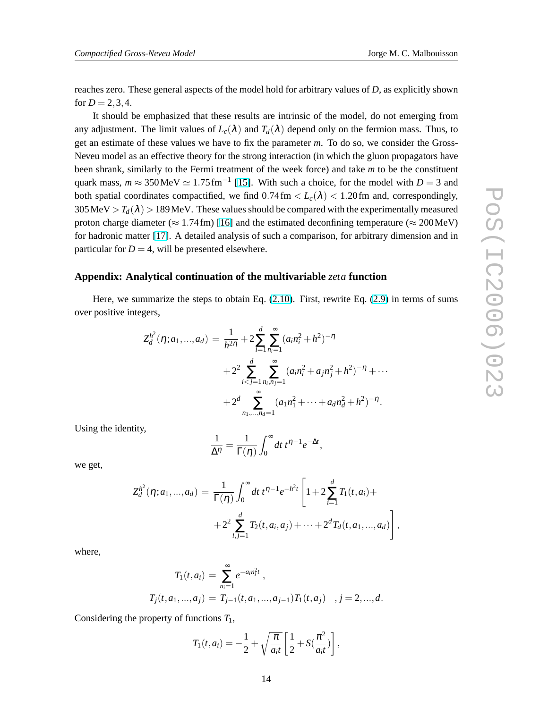reaches zero. These general aspects of the model hold for arbitrary values of *D*, as explicitly shown for  $D = 2, 3, 4$ .

It should be emphasized that these results are intrinsic of the model, do not emerging from any adjustment. The limit values of  $L_c(\lambda)$  and  $T_d(\lambda)$  depend only on the fermion mass. Thus, to get an estimate of these values we have to fix the parameter *m*. To do so, we consider the Gross-Neveu model as an effective theory for the strong interaction (in which the gluon propagators have been shrank, similarly to the Fermi treatment of the week force) and take *m* to be the constituent quark mass,  $m \approx 350 \text{ MeV} \simeq 1.75 \text{ fm}^{-1}$  [\[15\]](#page-14-0). With such a choice, for the model with  $D = 3$  and both spatial coordinates compactified, we find  $0.74 \text{ fm} < L_c(\lambda) < 1.20 \text{ fm}$  and, correspondingly,  $305 \text{ MeV} > T_d(\lambda) > 189 \text{ MeV}$ . These values should be compared with the experimentally measured proton charge diameter ( $\approx 1.74$  fm) [\[16\]](#page-14-0) and the estimated deconfining temperature ( $\approx 200$  MeV) for hadronic matter [\[17\]](#page-14-0). A detailed analysis of such a comparison, for arbitrary dimension and in particular for  $D = 4$ , will be presented elsewhere.

#### **Appendix: Analytical continuation of the multivariable** *zeta* **function**

Here, we summarize the steps to obtain Eq. [\(2.10\)](#page-3-0). First, rewrite Eq. [\(2.9\)](#page-3-0) in terms of sums over positive integers,

$$
Z_d^{h^2}(\eta; a_1, ..., a_d) = \frac{1}{h^{2\eta}} + 2 \sum_{i=1}^d \sum_{n_i=1}^\infty (a_i n_i^2 + h^2)^{-\eta}
$$
  
+ 
$$
2^2 \sum_{i < j=1}^d \sum_{n_i, n_j=1}^\infty (a_i n_i^2 + a_j n_j^2 + h^2)^{-\eta} + \cdots
$$
  
+ 
$$
2^d \sum_{n_1, ..., n_d=1}^\infty (a_1 n_1^2 + \cdots + a_d n_d^2 + h^2)^{-\eta}.
$$

Using the identity,

$$
\frac{1}{\Delta \eta} = \frac{1}{\Gamma(\eta)} \int_0^\infty dt \ t^{\eta - 1} e^{-\Delta t},
$$

we get,

$$
Z_d^{h^2}(\eta; a_1,...,a_d) = \frac{1}{\Gamma(\eta)} \int_0^{\infty} dt \, t^{\eta-1} e^{-h^2 t} \left[ 1 + 2 \sum_{i=1}^d T_1(t, a_i) ++ 2^2 \sum_{i,j=1}^d T_2(t, a_i, a_j) + \dots + 2^d T_d(t, a_1,...,a_d) \right],
$$

where,

$$
T_1(t, a_i) = \sum_{n_i=1}^{\infty} e^{-a_i n_i^2 t} ,
$$
  
\n
$$
T_j(t, a_1, ..., a_j) = T_{j-1}(t, a_1, ..., a_{j-1}) T_1(t, a_j) , j = 2, ..., d.
$$

Considering the property of functions *T*1,

$$
T_1(t, a_i) = -\frac{1}{2} + \sqrt{\frac{\pi}{a_i t}} \left[ \frac{1}{2} + S(\frac{\pi^2}{a_i t}) \right],
$$